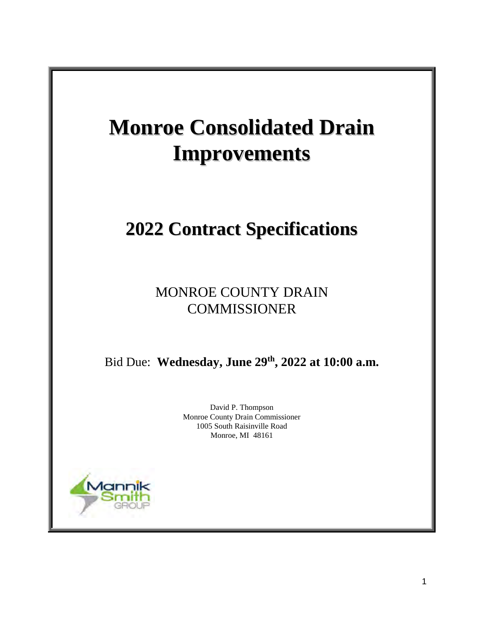# **Monroe Consolidated Drain Improvements**

## **2022 Contract Specifications**

MONROE COUNTY DRAIN **COMMISSIONER** 

Bid Due: **Wednesday, June 29th , 2022 at 10:00 a.m.**

David P. Thompson Monroe County Drain Commissioner 1005 South Raisinville Road Monroe, MI 48161

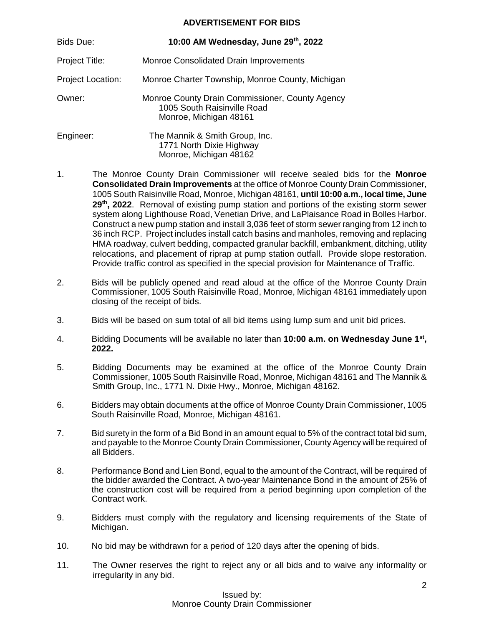#### **ADVERTISEMENT FOR BIDS**

| <b>Bids Due:</b>         | 10:00 AM Wednesday, June 29th, 2022                                                                      |
|--------------------------|----------------------------------------------------------------------------------------------------------|
| Project Title:           | Monroe Consolidated Drain Improvements                                                                   |
| <b>Project Location:</b> | Monroe Charter Township, Monroe County, Michigan                                                         |
| Owner:                   | Monroe County Drain Commissioner, County Agency<br>1005 South Raisinville Road<br>Monroe, Michigan 48161 |
| Engineer:                | The Mannik & Smith Group, Inc.<br>1771 North Dixie Highway<br>Monroe, Michigan 48162                     |

- 1. The Monroe County Drain Commissioner will receive sealed bids for the **Monroe Consolidated Drain Improvements** at the office of Monroe County Drain Commissioner, 1005 South Raisinville Road, Monroe, Michigan 48161, **until 10:00 a.m., local time, June**  29<sup>th</sup>, 2022. Removal of existing pump station and portions of the existing storm sewer system along Lighthouse Road, Venetian Drive, and LaPlaisance Road in Bolles Harbor. Construct a new pump station and install 3,036 feet of storm sewer ranging from 12 inch to 36 inch RCP. Project includes install catch basins and manholes, removing and replacing HMA roadway, culvert bedding, compacted granular backfill, embankment, ditching, utility relocations, and placement of riprap at pump station outfall. Provide slope restoration. Provide traffic control as specified in the special provision for Maintenance of Traffic.
- 2. Bids will be publicly opened and read aloud at the office of the Monroe County Drain Commissioner, 1005 South Raisinville Road, Monroe, Michigan 48161 immediately upon closing of the receipt of bids.
- 3. Bids will be based on sum total of all bid items using lump sum and unit bid prices.
- 4. Bidding Documents will be available no later than **10:00 a.m. on Wednesday June 1st, 2022.**
- 5. Bidding Documents may be examined at the office of the Monroe County Drain Commissioner, 1005 South Raisinville Road, Monroe, Michigan 48161 and The Mannik & Smith Group, Inc., 1771 N. Dixie Hwy., Monroe, Michigan 48162.
- 6. Bidders may obtain documents at the office of Monroe County Drain Commissioner, 1005 South Raisinville Road, Monroe, Michigan 48161.
- 7. Bid surety in the form of a Bid Bond in an amount equal to 5% of the contract total bid sum, and payable to the Monroe County Drain Commissioner, County Agency will be required of all Bidders.
- 8. Performance Bond and Lien Bond, equal to the amount of the Contract, will be required of the bidder awarded the Contract. A two-year Maintenance Bond in the amount of 25% of the construction cost will be required from a period beginning upon completion of the Contract work.
- 9. Bidders must comply with the regulatory and licensing requirements of the State of Michigan.
- 10. No bid may be withdrawn for a period of 120 days after the opening of bids.
- 11. The Owner reserves the right to reject any or all bids and to waive any informality or irregularity in any bid.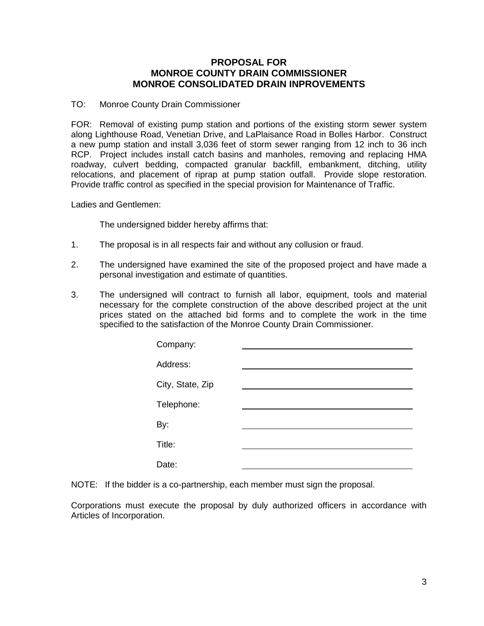#### **PROPOSAL FOR MONROE COUNTY DRAIN COMMISSIONER MONROE CONSOLIDATED DRAIN INPROVEMENTS**

#### TO: Monroe County Drain Commissioner

FOR: Removal of existing pump station and portions of the existing storm sewer system along Lighthouse Road, Venetian Drive, and LaPlaisance Road in Bolles Harbor. Construct a new pump station and install 3,036 feet of storm sewer ranging from 12 inch to 36 inch RCP. Project includes install catch basins and manholes, removing and replacing HMA roadway, culvert bedding, compacted granular backfill, embankment, ditching, utility relocations, and placement of riprap at pump station outfall. Provide slope restoration. Provide traffic control as specified in the special provision for Maintenance of Traffic.

Ladies and Gentlemen:

The undersigned bidder hereby affirms that:

- 1. The proposal is in all respects fair and without any collusion or fraud.
- 2. The undersigned have examined the site of the proposed project and have made a personal investigation and estimate of quantities.
- 3. The undersigned will contract to furnish all labor, equipment, tools and material necessary for the complete construction of the above described project at the unit prices stated on the attached bid forms and to complete the work in the time specified to the satisfaction of the Monroe County Drain Commissioner.

| Company:         |  |
|------------------|--|
| Address:         |  |
| City, State, Zip |  |
| Telephone:       |  |
| By:              |  |
| Title:           |  |
| Date:            |  |
|                  |  |

NOTE: If the bidder is a co-partnership, each member must sign the proposal.

Corporations must execute the proposal by duly authorized officers in accordance with Articles of Incorporation.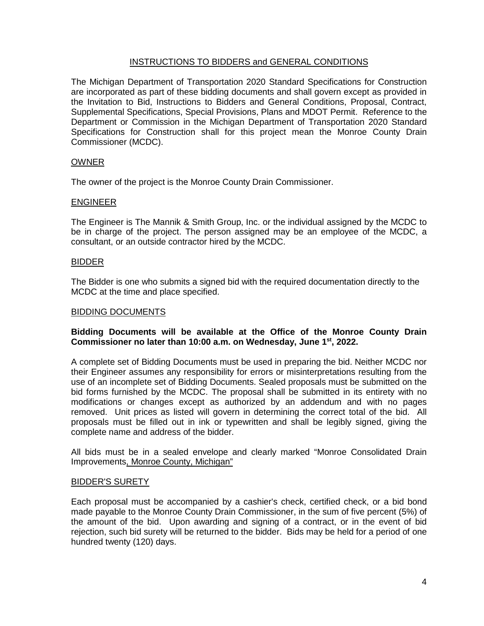#### INSTRUCTIONS TO BIDDERS and GENERAL CONDITIONS

The Michigan Department of Transportation 2020 Standard Specifications for Construction are incorporated as part of these bidding documents and shall govern except as provided in the Invitation to Bid, Instructions to Bidders and General Conditions, Proposal, Contract, Supplemental Specifications, Special Provisions, Plans and MDOT Permit. Reference to the Department or Commission in the Michigan Department of Transportation 2020 Standard Specifications for Construction shall for this project mean the Monroe County Drain Commissioner (MCDC).

#### **OWNER**

The owner of the project is the Monroe County Drain Commissioner.

#### ENGINEER

The Engineer is The Mannik & Smith Group, Inc. or the individual assigned by the MCDC to be in charge of the project. The person assigned may be an employee of the MCDC, a consultant, or an outside contractor hired by the MCDC.

#### BIDDER

The Bidder is one who submits a signed bid with the required documentation directly to the MCDC at the time and place specified.

#### BIDDING DOCUMENTS

#### **Bidding Documents will be available at the Office of the Monroe County Drain Commissioner no later than 10:00 a.m. on Wednesday, June 1st, 2022.**

A complete set of Bidding Documents must be used in preparing the bid. Neither MCDC nor their Engineer assumes any responsibility for errors or misinterpretations resulting from the use of an incomplete set of Bidding Documents. Sealed proposals must be submitted on the bid forms furnished by the MCDC. The proposal shall be submitted in its entirety with no modifications or changes except as authorized by an addendum and with no pages removed. Unit prices as listed will govern in determining the correct total of the bid. All proposals must be filled out in ink or typewritten and shall be legibly signed, giving the complete name and address of the bidder.

All bids must be in a sealed envelope and clearly marked "Monroe Consolidated Drain Improvements, Monroe County, Michigan"

#### BIDDER'S SURETY

Each proposal must be accompanied by a cashier's check, certified check, or a bid bond made payable to the Monroe County Drain Commissioner, in the sum of five percent (5%) of the amount of the bid. Upon awarding and signing of a contract, or in the event of bid rejection, such bid surety will be returned to the bidder. Bids may be held for a period of one hundred twenty (120) days.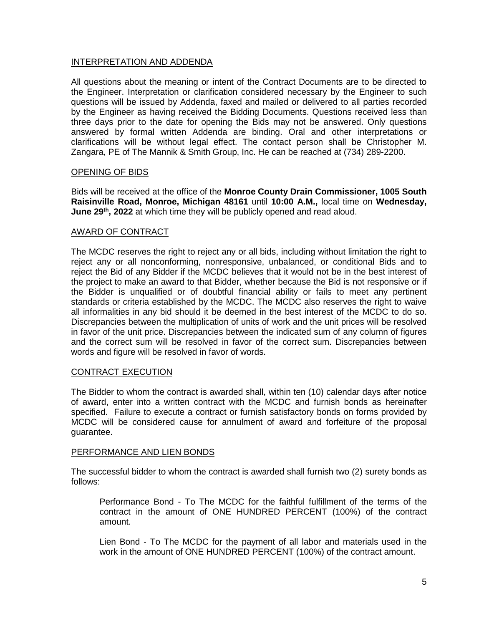#### INTERPRETATION AND ADDENDA

All questions about the meaning or intent of the Contract Documents are to be directed to the Engineer. Interpretation or clarification considered necessary by the Engineer to such questions will be issued by Addenda, faxed and mailed or delivered to all parties recorded by the Engineer as having received the Bidding Documents. Questions received less than three days prior to the date for opening the Bids may not be answered. Only questions answered by formal written Addenda are binding. Oral and other interpretations or clarifications will be without legal effect. The contact person shall be Christopher M. Zangara, PE of The Mannik & Smith Group, Inc. He can be reached at (734) 289-2200.

#### OPENING OF BIDS

Bids will be received at the office of the **Monroe County Drain Commissioner, 1005 South Raisinville Road, Monroe, Michigan 48161** until **10:00 A.M.,** local time on **Wednesday,**  June 29<sup>th</sup>, 2022 at which time they will be publicly opened and read aloud.

#### AWARD OF CONTRACT

The MCDC reserves the right to reject any or all bids, including without limitation the right to reject any or all nonconforming, nonresponsive, unbalanced, or conditional Bids and to reject the Bid of any Bidder if the MCDC believes that it would not be in the best interest of the project to make an award to that Bidder, whether because the Bid is not responsive or if the Bidder is unqualified or of doubtful financial ability or fails to meet any pertinent standards or criteria established by the MCDC. The MCDC also reserves the right to waive all informalities in any bid should it be deemed in the best interest of the MCDC to do so. Discrepancies between the multiplication of units of work and the unit prices will be resolved in favor of the unit price. Discrepancies between the indicated sum of any column of figures and the correct sum will be resolved in favor of the correct sum. Discrepancies between words and figure will be resolved in favor of words.

#### CONTRACT EXECUTION

The Bidder to whom the contract is awarded shall, within ten (10) calendar days after notice of award, enter into a written contract with the MCDC and furnish bonds as hereinafter specified. Failure to execute a contract or furnish satisfactory bonds on forms provided by MCDC will be considered cause for annulment of award and forfeiture of the proposal guarantee.

#### PERFORMANCE AND LIEN BONDS

The successful bidder to whom the contract is awarded shall furnish two (2) surety bonds as follows:

Performance Bond - To The MCDC for the faithful fulfillment of the terms of the contract in the amount of ONE HUNDRED PERCENT (100%) of the contract amount.

Lien Bond - To The MCDC for the payment of all labor and materials used in the work in the amount of ONE HUNDRED PERCENT (100%) of the contract amount.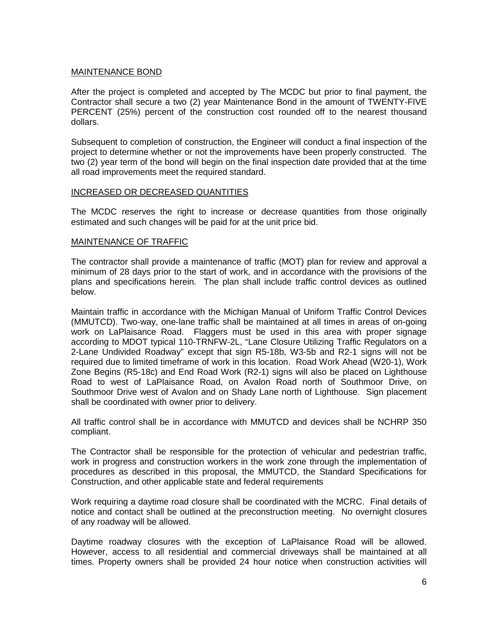#### MAINTENANCE BOND

After the project is completed and accepted by The MCDC but prior to final payment, the Contractor shall secure a two (2) year Maintenance Bond in the amount of TWENTY-FIVE PERCENT (25%) percent of the construction cost rounded off to the nearest thousand dollars.

Subsequent to completion of construction, the Engineer will conduct a final inspection of the project to determine whether or not the improvements have been properly constructed. The two (2) year term of the bond will begin on the final inspection date provided that at the time all road improvements meet the required standard.

#### INCREASED OR DECREASED QUANTITIES

The MCDC reserves the right to increase or decrease quantities from those originally estimated and such changes will be paid for at the unit price bid.

#### MAINTENANCE OF TRAFFIC

The contractor shall provide a maintenance of traffic (MOT) plan for review and approval a minimum of 28 days prior to the start of work, and in accordance with the provisions of the plans and specifications herein. The plan shall include traffic control devices as outlined below.

Maintain traffic in accordance with the Michigan Manual of Uniform Traffic Control Devices (MMUTCD). Two-way, one-lane traffic shall be maintained at all times in areas of on-going work on LaPlaisance Road. Flaggers must be used in this area with proper signage according to MDOT typical 110-TRNFW-2L, "Lane Closure Utilizing Traffic Regulators on a 2-Lane Undivided Roadway" except that sign R5-18b, W3-5b and R2-1 signs will not be required due to limited timeframe of work in this location. Road Work Ahead (W20-1), Work Zone Begins (R5-18c) and End Road Work (R2-1) signs will also be placed on Lighthouse Road to west of LaPlaisance Road, on Avalon Road north of Southmoor Drive, on Southmoor Drive west of Avalon and on Shady Lane north of Lighthouse. Sign placement shall be coordinated with owner prior to delivery.

All traffic control shall be in accordance with MMUTCD and devices shall be NCHRP 350 compliant.

The Contractor shall be responsible for the protection of vehicular and pedestrian traffic, work in progress and construction workers in the work zone through the implementation of procedures as described in this proposal, the MMUTCD, the Standard Specifications for Construction, and other applicable state and federal requirements

Work requiring a daytime road closure shall be coordinated with the MCRC. Final details of notice and contact shall be outlined at the preconstruction meeting. No overnight closures of any roadway will be allowed.

Daytime roadway closures with the exception of LaPlaisance Road will be allowed. However, access to all residential and commercial driveways shall be maintained at all times. Property owners shall be provided 24 hour notice when construction activities will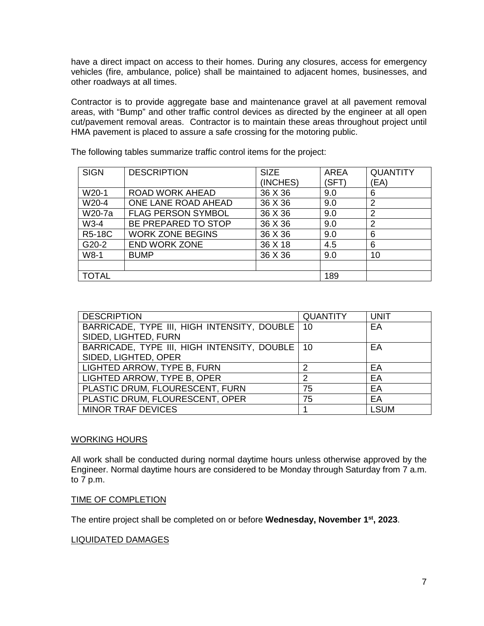have a direct impact on access to their homes. During any closures, access for emergency vehicles (fire, ambulance, police) shall be maintained to adjacent homes, businesses, and other roadways at all times.

Contractor is to provide aggregate base and maintenance gravel at all pavement removal areas, with "Bump" and other traffic control devices as directed by the engineer at all open cut/pavement removal areas. Contractor is to maintain these areas throughout project until HMA pavement is placed to assure a safe crossing for the motoring public.

| <b>SIGN</b>        | <b>DESCRIPTION</b>        | <b>SIZE</b><br>(INCHES) | <b>AREA</b><br>(SFT) | <b>QUANTITY</b><br>EA) |
|--------------------|---------------------------|-------------------------|----------------------|------------------------|
| W20-1              | <b>ROAD WORK AHEAD</b>    | 36 X 36                 | 9.0                  | 6                      |
| W20-4              | ONE LANE ROAD AHEAD       | 36 X 36                 | 9.0                  | 2                      |
| W20-7a             | <b>FLAG PERSON SYMBOL</b> | 36 X 36                 | 9.0                  | $\overline{2}$         |
| $W3-4$             | BE PREPARED TO STOP       | 36 X 36                 | 9.0                  | $\overline{2}$         |
| <b>R5-18C</b>      | <b>WORK ZONE BEGINS</b>   | 36 X 36                 | 9.0                  | 6                      |
| G <sub>20</sub> -2 | <b>END WORK ZONE</b>      | 36 X 18                 | 4.5                  | 6                      |
| $W8-1$             | <b>BUMP</b>               | 36 X 36                 | 9.0                  | 10                     |
|                    |                           |                         |                      |                        |
| <b>TOTAL</b>       |                           |                         | 189                  |                        |

The following tables summarize traffic control items for the project:

| <b>DESCRIPTION</b>                               | <b>QUANTITY</b> | <b>UNIT</b> |
|--------------------------------------------------|-----------------|-------------|
| BARRICADE, TYPE III, HIGH INTENSITY, DOUBLE   10 |                 | EA          |
| SIDED, LIGHTED, FURN                             |                 |             |
| BARRICADE, TYPE III, HIGH INTENSITY, DOUBLE 10   |                 | EA          |
| SIDED, LIGHTED, OPER                             |                 |             |
| LIGHTED ARROW, TYPE B, FURN                      | っ               | EA          |
| LIGHTED ARROW, TYPE B, OPER                      | 2               | EA          |
| PLASTIC DRUM, FLOURESCENT, FURN                  | 75              | EA          |
| PLASTIC DRUM, FLOURESCENT, OPER                  | 75              | EA          |
| <b>MINOR TRAF DEVICES</b>                        |                 | <b>LSUM</b> |

#### WORKING HOURS

All work shall be conducted during normal daytime hours unless otherwise approved by the Engineer. Normal daytime hours are considered to be Monday through Saturday from 7 a.m. to 7 p.m.

#### TIME OF COMPLETION

The entire project shall be completed on or before **Wednesday, November 1st, 2023**.

#### LIQUIDATED DAMAGES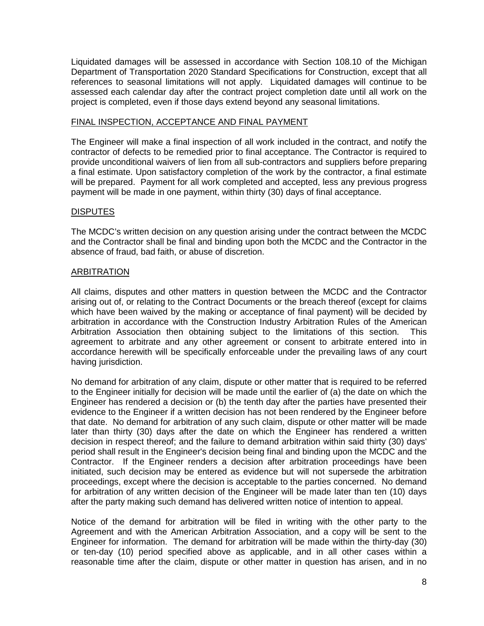Liquidated damages will be assessed in accordance with Section 108.10 of the Michigan Department of Transportation 2020 Standard Specifications for Construction, except that all references to seasonal limitations will not apply.Liquidated damages will continue to be assessed each calendar day after the contract project completion date until all work on the project is completed, even if those days extend beyond any seasonal limitations.

#### FINAL INSPECTION, ACCEPTANCE AND FINAL PAYMENT

The Engineer will make a final inspection of all work included in the contract, and notify the contractor of defects to be remedied prior to final acceptance. The Contractor is required to provide unconditional waivers of lien from all sub-contractors and suppliers before preparing a final estimate. Upon satisfactory completion of the work by the contractor, a final estimate will be prepared. Payment for all work completed and accepted, less any previous progress payment will be made in one payment, within thirty (30) days of final acceptance.

#### DISPUTES

The MCDC's written decision on any question arising under the contract between the MCDC and the Contractor shall be final and binding upon both the MCDC and the Contractor in the absence of fraud, bad faith, or abuse of discretion.

#### ARBITRATION

All claims, disputes and other matters in question between the MCDC and the Contractor arising out of, or relating to the Contract Documents or the breach thereof (except for claims which have been waived by the making or acceptance of final payment) will be decided by arbitration in accordance with the Construction Industry Arbitration Rules of the American Arbitration Association then obtaining subject to the limitations of this section. This agreement to arbitrate and any other agreement or consent to arbitrate entered into in accordance herewith will be specifically enforceable under the prevailing laws of any court having jurisdiction.

No demand for arbitration of any claim, dispute or other matter that is required to be referred to the Engineer initially for decision will be made until the earlier of (a) the date on which the Engineer has rendered a decision or (b) the tenth day after the parties have presented their evidence to the Engineer if a written decision has not been rendered by the Engineer before that date. No demand for arbitration of any such claim, dispute or other matter will be made later than thirty (30) days after the date on which the Engineer has rendered a written decision in respect thereof; and the failure to demand arbitration within said thirty (30) days' period shall result in the Engineer's decision being final and binding upon the MCDC and the Contractor. If the Engineer renders a decision after arbitration proceedings have been initiated, such decision may be entered as evidence but will not supersede the arbitration proceedings, except where the decision is acceptable to the parties concerned. No demand for arbitration of any written decision of the Engineer will be made later than ten (10) days after the party making such demand has delivered written notice of intention to appeal.

Notice of the demand for arbitration will be filed in writing with the other party to the Agreement and with the American Arbitration Association, and a copy will be sent to the Engineer for information. The demand for arbitration will be made within the thirty-day (30) or ten-day (10) period specified above as applicable, and in all other cases within a reasonable time after the claim, dispute or other matter in question has arisen, and in no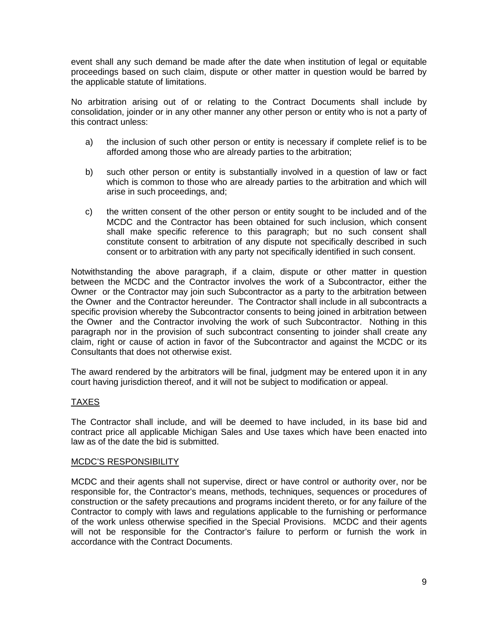event shall any such demand be made after the date when institution of legal or equitable proceedings based on such claim, dispute or other matter in question would be barred by the applicable statute of limitations.

No arbitration arising out of or relating to the Contract Documents shall include by consolidation, joinder or in any other manner any other person or entity who is not a party of this contract unless:

- a) the inclusion of such other person or entity is necessary if complete relief is to be afforded among those who are already parties to the arbitration;
- b) such other person or entity is substantially involved in a question of law or fact which is common to those who are already parties to the arbitration and which will arise in such proceedings, and;
- c) the written consent of the other person or entity sought to be included and of the MCDC and the Contractor has been obtained for such inclusion, which consent shall make specific reference to this paragraph; but no such consent shall constitute consent to arbitration of any dispute not specifically described in such consent or to arbitration with any party not specifically identified in such consent.

Notwithstanding the above paragraph, if a claim, dispute or other matter in question between the MCDC and the Contractor involves the work of a Subcontractor, either the Owner or the Contractor may join such Subcontractor as a party to the arbitration between the Owner and the Contractor hereunder. The Contractor shall include in all subcontracts a specific provision whereby the Subcontractor consents to being joined in arbitration between the Owner and the Contractor involving the work of such Subcontractor. Nothing in this paragraph nor in the provision of such subcontract consenting to joinder shall create any claim, right or cause of action in favor of the Subcontractor and against the MCDC or its Consultants that does not otherwise exist.

The award rendered by the arbitrators will be final, judgment may be entered upon it in any court having jurisdiction thereof, and it will not be subject to modification or appeal.

#### TAXES

The Contractor shall include, and will be deemed to have included, in its base bid and contract price all applicable Michigan Sales and Use taxes which have been enacted into law as of the date the bid is submitted.

#### MCDC'S RESPONSIBILITY

MCDC and their agents shall not supervise, direct or have control or authority over, nor be responsible for, the Contractor's means, methods, techniques, sequences or procedures of construction or the safety precautions and programs incident thereto, or for any failure of the Contractor to comply with laws and regulations applicable to the furnishing or performance of the work unless otherwise specified in the Special Provisions. MCDC and their agents will not be responsible for the Contractor's failure to perform or furnish the work in accordance with the Contract Documents.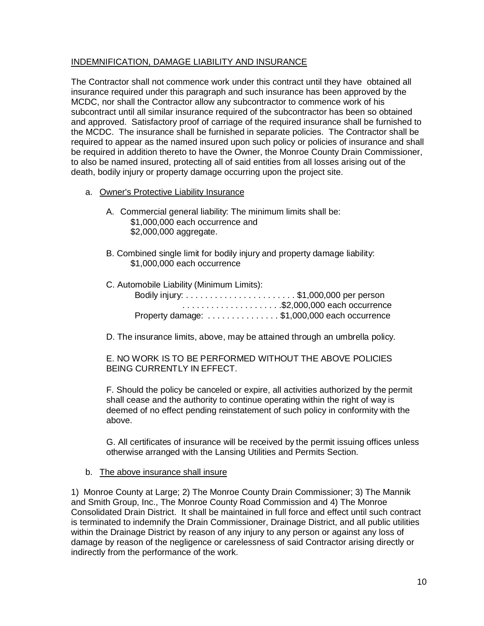#### INDEMNIFICATION, DAMAGE LIABILITY AND INSURANCE

The Contractor shall not commence work under this contract until they have obtained all insurance required under this paragraph and such insurance has been approved by the MCDC, nor shall the Contractor allow any subcontractor to commence work of his subcontract until all similar insurance required of the subcontractor has been so obtained and approved. Satisfactory proof of carriage of the required insurance shall be furnished to the MCDC. The insurance shall be furnished in separate policies. The Contractor shall be required to appear as the named insured upon such policy or policies of insurance and shall be required in addition thereto to have the Owner, the Monroe County Drain Commissioner, to also be named insured, protecting all of said entities from all losses arising out of the death, bodily injury or property damage occurring upon the project site.

- a. Owner's Protective Liability Insurance
	- A. Commercial general liability: The minimum limits shall be: \$1,000,000 each occurrence and \$2,000,000 aggregate.
	- B. Combined single limit for bodily injury and property damage liability: \$1,000,000 each occurrence

| C. Automobile Liability (Minimum Limits):    |  |
|----------------------------------------------|--|
|                                              |  |
|                                              |  |
| Property damage: \$1,000,000 each occurrence |  |

D. The insurance limits, above, may be attained through an umbrella policy.

E. NO WORK IS TO BE PERFORMED WITHOUT THE ABOVE POLICIES BEING CURRENTLY IN EFFECT.

F. Should the policy be canceled or expire, all activities authorized by the permit shall cease and the authority to continue operating within the right of way is deemed of no effect pending reinstatement of such policy in conformity with the above.

G. All certificates of insurance will be received by the permit issuing offices unless otherwise arranged with the Lansing Utilities and Permits Section.

#### b. The above insurance shall insure

1) Monroe County at Large; 2) The Monroe County Drain Commissioner; 3) The Mannik and Smith Group, Inc., The Monroe County Road Commission and 4) The Monroe Consolidated Drain District. It shall be maintained in full force and effect until such contract is terminated to indemnify the Drain Commissioner, Drainage District, and all public utilities within the Drainage District by reason of any injury to any person or against any loss of damage by reason of the negligence or carelessness of said Contractor arising directly or indirectly from the performance of the work.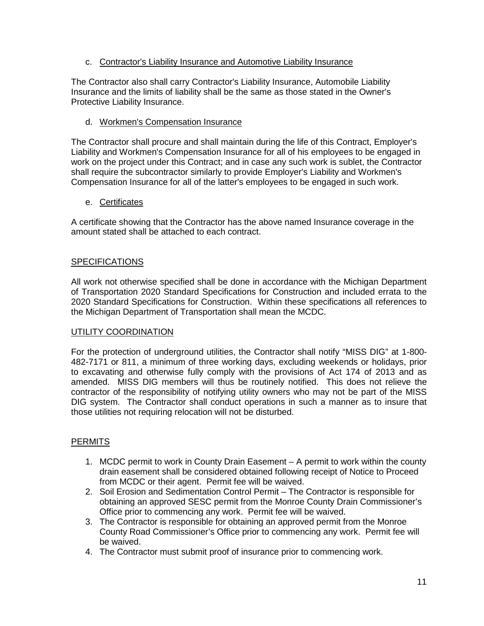#### c. Contractor's Liability Insurance and Automotive Liability Insurance

The Contractor also shall carry Contractor's Liability Insurance, Automobile Liability Insurance and the limits of liability shall be the same as those stated in the Owner's Protective Liability Insurance.

#### d. Workmen's Compensation Insurance

The Contractor shall procure and shall maintain during the life of this Contract, Employer's Liability and Workmen's Compensation Insurance for all of his employees to be engaged in work on the project under this Contract; and in case any such work is sublet, the Contractor shall require the subcontractor similarly to provide Employer's Liability and Workmen's Compensation Insurance for all of the latter's employees to be engaged in such work.

#### e. Certificates

A certificate showing that the Contractor has the above named Insurance coverage in the amount stated shall be attached to each contract.

#### **SPECIFICATIONS**

All work not otherwise specified shall be done in accordance with the Michigan Department of Transportation 2020 Standard Specifications for Construction and included errata to the 2020 Standard Specifications for Construction. Within these specifications all references to the Michigan Department of Transportation shall mean the MCDC.

#### UTILITY COORDINATION

For the protection of underground utilities, the Contractor shall notify "MISS DIG" at 1-800- 482-7171 or 811, a minimum of three working days, excluding weekends or holidays, prior to excavating and otherwise fully comply with the provisions of Act 174 of 2013 and as amended. MISS DIG members will thus be routinely notified. This does not relieve the contractor of the responsibility of notifying utility owners who may not be part of the MISS DIG system. The Contractor shall conduct operations in such a manner as to insure that those utilities not requiring relocation will not be disturbed.

#### **PERMITS**

- 1. MCDC permit to work in County Drain Easement A permit to work within the county drain easement shall be considered obtained following receipt of Notice to Proceed from MCDC or their agent. Permit fee will be waived.
- 2. Soil Erosion and Sedimentation Control Permit The Contractor is responsible for obtaining an approved SESC permit from the Monroe County Drain Commissioner's Office prior to commencing any work. Permit fee will be waived.
- 3. The Contractor is responsible for obtaining an approved permit from the Monroe County Road Commissioner's Office prior to commencing any work. Permit fee will be waived.
- 4. The Contractor must submit proof of insurance prior to commencing work.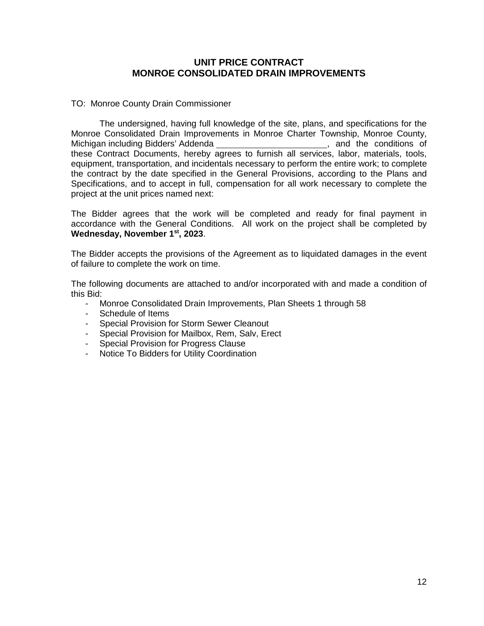#### **UNIT PRICE CONTRACT MONROE CONSOLIDATED DRAIN IMPROVEMENTS**

#### TO: Monroe County Drain Commissioner

The undersigned, having full knowledge of the site, plans, and specifications for the Monroe Consolidated Drain Improvements in Monroe Charter Township, Monroe County, Michigan including Bidders' Addenda \_\_\_\_\_\_\_\_\_\_\_\_\_\_\_\_\_\_\_\_\_\_\_\_\_\_, and the conditions of Michigan including Bidders' Addenda these Contract Documents, hereby agrees to furnish all services, labor, materials, tools, equipment, transportation, and incidentals necessary to perform the entire work; to complete the contract by the date specified in the General Provisions, according to the Plans and Specifications, and to accept in full, compensation for all work necessary to complete the project at the unit prices named next:

The Bidder agrees that the work will be completed and ready for final payment in accordance with the General Conditions. All work on the project shall be completed by **Wednesday, November 1st, 2023**.

The Bidder accepts the provisions of the Agreement as to liquidated damages in the event of failure to complete the work on time.

The following documents are attached to and/or incorporated with and made a condition of this Bid:

- Monroe Consolidated Drain Improvements, Plan Sheets 1 through 58
- Schedule of Items
- Special Provision for Storm Sewer Cleanout
- Special Provision for Mailbox, Rem, Salv, Erect
- Special Provision for Progress Clause
- Notice To Bidders for Utility Coordination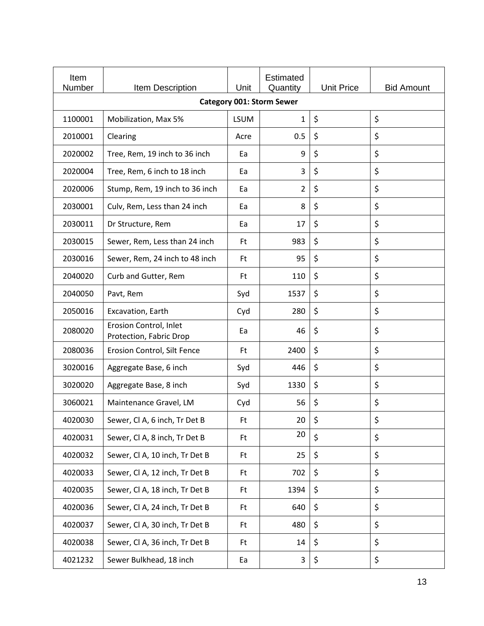| Item<br>Number | Item Description                                  | Unit        | <b>Estimated</b><br>Quantity     | <b>Unit Price</b> | <b>Bid Amount</b> |
|----------------|---------------------------------------------------|-------------|----------------------------------|-------------------|-------------------|
|                |                                                   |             | <b>Category 001: Storm Sewer</b> |                   |                   |
| 1100001        | Mobilization, Max 5%                              | <b>LSUM</b> | 1                                | $\zeta$           | \$                |
| 2010001        | Clearing                                          | Acre        | 0.5                              | \$                | \$                |
| 2020002        | Tree, Rem, 19 inch to 36 inch                     | Ea          | 9                                | \$                | \$                |
| 2020004        | Tree, Rem, 6 inch to 18 inch                      | Ea          | 3                                | \$                | \$                |
| 2020006        | Stump, Rem, 19 inch to 36 inch                    | Ea          | $\overline{2}$                   | \$                | \$                |
| 2030001        | Culv, Rem, Less than 24 inch                      | Ea          | 8                                | \$                | \$                |
| 2030011        | Dr Structure, Rem                                 | Ea          | 17                               | \$                | \$                |
| 2030015        | Sewer, Rem, Less than 24 inch                     | Ft          | 983                              | \$                | \$                |
| 2030016        | Sewer, Rem, 24 inch to 48 inch                    | Ft          | 95                               | \$                | \$                |
| 2040020        | Curb and Gutter, Rem                              | Ft          | 110                              | \$                | \$                |
| 2040050        | Pavt, Rem                                         | Syd         | 1537                             | \$                | \$                |
| 2050016        | Excavation, Earth                                 | Cyd         | 280                              | \$                | \$                |
| 2080020        | Erosion Control, Inlet<br>Protection, Fabric Drop | Ea          | 46                               | \$                | \$                |
| 2080036        | Erosion Control, Silt Fence                       | <b>Ft</b>   | 2400                             | \$                | \$                |
| 3020016        | Aggregate Base, 6 inch                            | Syd         | 446                              | \$                | \$                |
| 3020020        | Aggregate Base, 8 inch                            | Syd         | 1330                             | \$                | \$                |
| 3060021        | Maintenance Gravel, LM                            | Cyd         | 56                               | \$                | \$                |
| 4020030        | Sewer, Cl A, 6 inch, Tr Det B                     | Ft          | 20                               | \$                | \$                |
| 4020031        | Sewer, Cl A, 8 inch, Tr Det B                     | Ft.         | 20                               | \$                | \$                |
| 4020032        | Sewer, Cl A, 10 inch, Tr Det B                    | Ft.         | 25                               | \$                | \$                |
| 4020033        | Sewer, Cl A, 12 inch, Tr Det B                    | Ft.         | 702                              | \$                | \$                |
| 4020035        | Sewer, Cl A, 18 inch, Tr Det B                    | <b>Ft</b>   | 1394                             | \$                | \$                |
| 4020036        | Sewer, Cl A, 24 inch, Tr Det B                    | Ft.         | 640                              | \$                | \$                |
| 4020037        | Sewer, Cl A, 30 inch, Tr Det B                    | Ft.         | 480                              | \$                | \$                |
| 4020038        | Sewer, Cl A, 36 inch, Tr Det B                    | Ft          | 14                               | \$                | \$                |
| 4021232        | Sewer Bulkhead, 18 inch                           | Ea          | 3                                | \$                | \$                |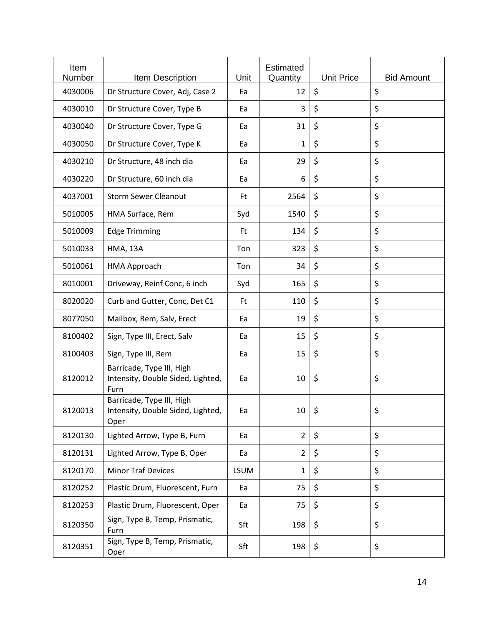| Item<br>Number | Item Description                                                       | Unit        | <b>Estimated</b><br>Quantity | <b>Unit Price</b> | <b>Bid Amount</b> |
|----------------|------------------------------------------------------------------------|-------------|------------------------------|-------------------|-------------------|
| 4030006        | Dr Structure Cover, Adj, Case 2                                        | Ea          | 12                           | \$                | \$                |
| 4030010        | Dr Structure Cover, Type B                                             | Ea          | 3                            | \$                | \$                |
| 4030040        | Dr Structure Cover, Type G                                             | Ea          | 31                           | \$                | \$                |
| 4030050        | Dr Structure Cover, Type K                                             | Ea          | 1                            | \$                | \$                |
| 4030210        | Dr Structure, 48 inch dia                                              | Ea          | 29                           | \$                | \$                |
| 4030220        | Dr Structure, 60 inch dia                                              | Ea          | 6                            | \$                | \$                |
| 4037001        | <b>Storm Sewer Cleanout</b>                                            | Ft          | 2564                         | \$                | \$                |
| 5010005        | HMA Surface, Rem                                                       | Syd         | 1540                         | \$                | \$                |
| 5010009        | <b>Edge Trimming</b>                                                   | Ft          | 134                          | \$                | \$                |
| 5010033        | <b>HMA, 13A</b>                                                        | Ton         | 323                          | \$                | \$                |
| 5010061        | HMA Approach                                                           | Ton         | 34                           | \$                | \$                |
| 8010001        | Driveway, Reinf Conc, 6 inch                                           | Syd         | 165                          | \$                | \$                |
| 8020020        | Curb and Gutter, Conc, Det C1                                          | <b>Ft</b>   | 110                          | \$                | \$                |
| 8077050        | Mailbox, Rem, Salv, Erect                                              | Ea          | 19                           | \$                | \$                |
| 8100402        | Sign, Type III, Erect, Salv                                            | Ea          | 15                           | \$                | \$                |
| 8100403        | Sign, Type III, Rem                                                    | Ea          | 15                           | \$                | \$                |
| 8120012        | Barricade, Type III, High<br>Intensity, Double Sided, Lighted,<br>Furn | Ea          | 10                           | \$                | \$                |
| 8120013        | Barricade, Type III, High<br>Intensity, Double Sided, Lighted,<br>Oper | Ea          | $10  $ \$                    |                   | \$                |
| 8120130        | Lighted Arrow, Type B, Furn                                            | Ea          | $\overline{2}$               | \$                | \$                |
| 8120131        | Lighted Arrow, Type B, Oper                                            | Ea          | $\overline{2}$               | \$                | \$                |
| 8120170        | <b>Minor Traf Devices</b>                                              | <b>LSUM</b> | 1                            | \$                | \$                |
| 8120252        | Plastic Drum, Fluorescent, Furn                                        | Ea          | 75                           | \$                | \$                |
| 8120253        | Plastic Drum, Fluorescent, Oper                                        | Ea          | 75                           | \$                | \$                |
| 8120350        | Sign, Type B, Temp, Prismatic,<br>Furn                                 | Sft         | 198                          | \$                | \$                |
| 8120351        | Sign, Type B, Temp, Prismatic,<br>Oper                                 | Sft         | 198                          | \$                | \$                |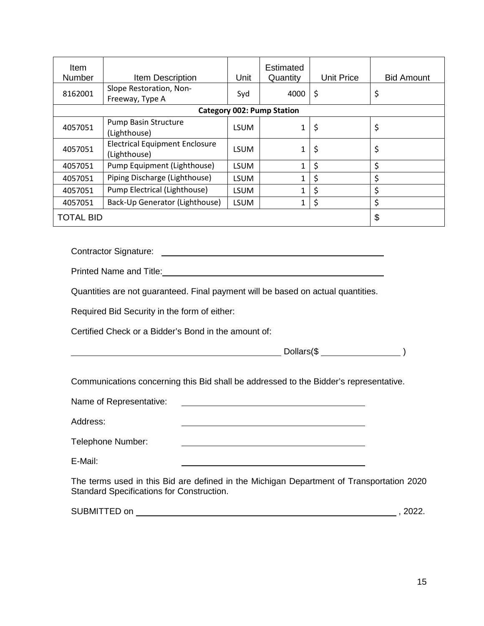| Item<br><b>Number</b> | Item Description                                      | Unit        | Estimated<br>Quantity             | <b>Unit Price</b> | <b>Bid Amount</b> |
|-----------------------|-------------------------------------------------------|-------------|-----------------------------------|-------------------|-------------------|
| 8162001               | Slope Restoration, Non-<br>Freeway, Type A            | Syd         | 4000                              | \$                | \$                |
|                       |                                                       |             | <b>Category 002: Pump Station</b> |                   |                   |
| 4057051               | Pump Basin Structure<br>(Lighthouse)                  | LSUM        | 1                                 | \$                | \$                |
| 4057051               | <b>Electrical Equipment Enclosure</b><br>(Lighthouse) | <b>LSUM</b> | 1                                 | \$                | \$                |
| 4057051               | Pump Equipment (Lighthouse)                           | <b>LSUM</b> |                                   | \$                | \$                |
| 4057051               | Piping Discharge (Lighthouse)                         | <b>LSUM</b> |                                   | \$                | \$                |
| 4057051               | Pump Electrical (Lighthouse)                          | LSUM        |                                   | \$                | \$                |
| 4057051               | Back-Up Generator (Lighthouse)                        | <b>LSUM</b> | 1                                 | \$                | \$                |
| <b>TOTAL BID</b>      |                                                       |             |                                   |                   | \$                |

Contractor Signature:

Printed Name and Title: **Example 2018** 2019 12:00:00 Printed Name and Title:

Quantities are not guaranteed. Final payment will be based on actual quantities.

Required Bid Security in the form of either:

Certified Check or a Bidder's Bond in the amount of:

 $Dollars(\text{\textcircled{s}} \_)$ 

Communications concerning this Bid shall be addressed to the Bidder's representative.

Name of Representative:

Address:

| Telephone Number: |  |
|-------------------|--|
|-------------------|--|

E-Mail:

The terms used in this Bid are defined in the Michigan Department of Transportation 2020 Standard Specifications for Construction.

| <b>SUBMITTED</b><br>on<br>- L. | 2022. |
|--------------------------------|-------|
|                                |       |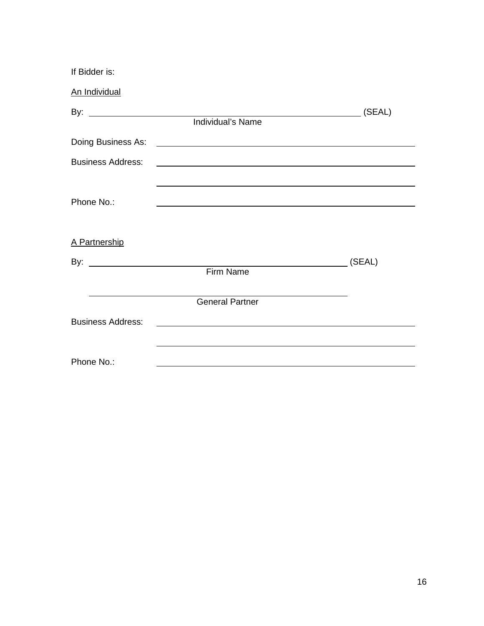| If Bidder is:            |                                                                                                                                                                      |                                                                               |
|--------------------------|----------------------------------------------------------------------------------------------------------------------------------------------------------------------|-------------------------------------------------------------------------------|
| An Individual            |                                                                                                                                                                      |                                                                               |
|                          | Individual's Name                                                                                                                                                    |                                                                               |
| Doing Business As:       | <u> 1989 - Johann Stein, markin sanat markin samanin samanin samanin samanin samanin samanin samanin samanin sa</u>                                                  |                                                                               |
| <b>Business Address:</b> | <u> 1989 - Johann Stein, marwolaethau a bhann an t-Amhair an t-Amhair an t-Amhair an t-Amhair an t-Amhair an t-A</u>                                                 |                                                                               |
| Phone No.:               | ,我们也不会有什么。""我们的人,我们也不会有什么?""我们的人,我们也不会有什么?""我们的人,我们也不会有什么?""我们的人,我们也不会有什么?""我们的人<br>,我们也不会有什么。""我们的人,我们也不会有什么?""我们的人,我们也不会有什么?""我们的人,我们也不会有什么?""我们的人,我们也不会有什么?""我们的人 |                                                                               |
| A Partnership            |                                                                                                                                                                      |                                                                               |
|                          |                                                                                                                                                                      | (SEAL)<br>$\overline{\phantom{a}}$ . The contract of $\overline{\phantom{a}}$ |
|                          | Firm Name                                                                                                                                                            |                                                                               |
|                          | <b>General Partner</b>                                                                                                                                               |                                                                               |
| <b>Business Address:</b> | <u> 1989 - Johann John Stein, markin fyrstu og fyrstu og fyrir og fyrir og fyrir og fyrir og fyrir og fyrir og f</u>                                                 |                                                                               |
| Phone No.:               |                                                                                                                                                                      |                                                                               |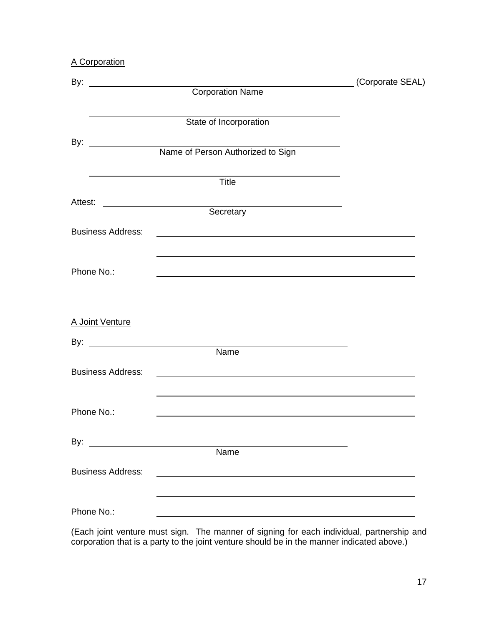A Corporation

|                          |                                                                                                                                    | (Corporate SEAL) |
|--------------------------|------------------------------------------------------------------------------------------------------------------------------------|------------------|
|                          | Corporation Name                                                                                                                   |                  |
|                          | State of Incorporation                                                                                                             |                  |
|                          |                                                                                                                                    |                  |
|                          |                                                                                                                                    |                  |
|                          | Title                                                                                                                              |                  |
|                          |                                                                                                                                    |                  |
| <b>Business Address:</b> | Secretary<br><u> 1989 - Johann Harry Barn, mars ar breist fan de Amerikaanske kommunent fan de Amerikaanske kommunent fan de A</u> |                  |
|                          |                                                                                                                                    |                  |
| Phone No.:               |                                                                                                                                    |                  |
| A Joint Venture          |                                                                                                                                    |                  |
|                          |                                                                                                                                    |                  |
|                          | Name                                                                                                                               |                  |
| <b>Business Address:</b> |                                                                                                                                    |                  |
| Phone No.:               |                                                                                                                                    |                  |
|                          |                                                                                                                                    |                  |
|                          | Name                                                                                                                               |                  |
| <b>Business Address:</b> |                                                                                                                                    |                  |
| Phone No.:               |                                                                                                                                    |                  |

(Each joint venture must sign. The manner of signing for each individual, partnership and corporation that is a party to the joint venture should be in the manner indicated above.)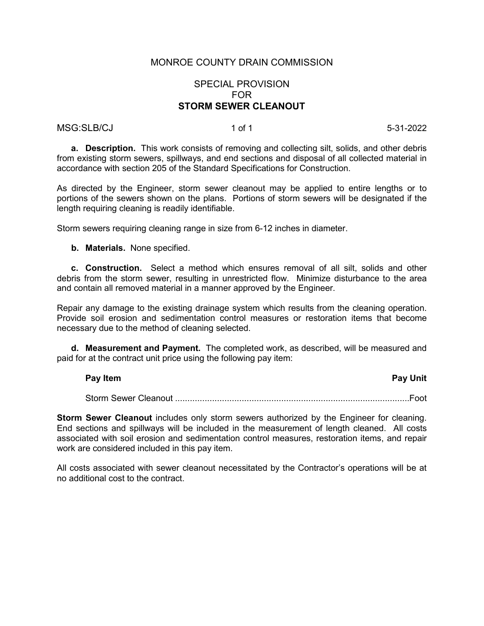#### SPECIAL PROVISION FOR **STORM SEWER CLEANOUT**

#### MSG:SLB/CJ 1 of 1 5-31-2022

**a. Description.** This work consists of removing and collecting silt, solids, and other debris from existing storm sewers, spillways, and end sections and disposal of all collected material in accordance with section 205 of the Standard Specifications for Construction.

As directed by the Engineer, storm sewer cleanout may be applied to entire lengths or to portions of the sewers shown on the plans. Portions of storm sewers will be designated if the length requiring cleaning is readily identifiable.

Storm sewers requiring cleaning range in size from 6-12 inches in diameter.

**b. Materials.** None specified.

**c. Construction.** Select a method which ensures removal of all silt, solids and other debris from the storm sewer, resulting in unrestricted flow. Minimize disturbance to the area and contain all removed material in a manner approved by the Engineer.

Repair any damage to the existing drainage system which results from the cleaning operation. Provide soil erosion and sedimentation control measures or restoration items that become necessary due to the method of cleaning selected.

**d. Measurement and Payment.** The completed work, as described, will be measured and paid for at the contract unit price using the following pay item:

#### **Pay Item Pay Unit**

Storm Sewer Cleanout ...............................................................................................Foot

**Storm Sewer Cleanout** includes only storm sewers authorized by the Engineer for cleaning. End sections and spillways will be included in the measurement of length cleaned. All costs associated with soil erosion and sedimentation control measures, restoration items, and repair work are considered included in this pay item.

All costs associated with sewer cleanout necessitated by the Contractor's operations will be at no additional cost to the contract.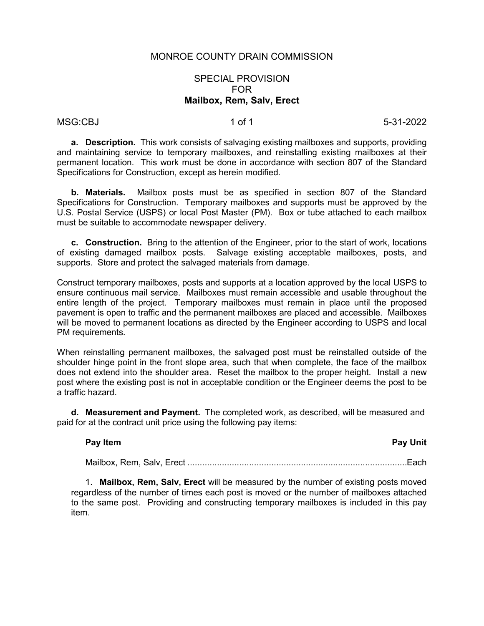#### SPECIAL PROVISION FOR **Mailbox, Rem, Salv, Erect**

#### MSG:CBJ 1 of 1 5-31-2022

**a. Description.** This work consists of salvaging existing mailboxes and supports, providing and maintaining service to temporary mailboxes, and reinstalling existing mailboxes at their permanent location. This work must be done in accordance with section 807 of the Standard Specifications for Construction, except as herein modified.

**b. Materials.** Mailbox posts must be as specified in section 807 of the Standard Specifications for Construction. Temporary mailboxes and supports must be approved by the U.S. Postal Service (USPS) or local Post Master (PM). Box or tube attached to each mailbox must be suitable to accommodate newspaper delivery.

**c. Construction.** Bring to the attention of the Engineer, prior to the start of work, locations of existing damaged mailbox posts. Salvage existing acceptable mailboxes, posts, and supports. Store and protect the salvaged materials from damage.

Construct temporary mailboxes, posts and supports at a location approved by the local USPS to ensure continuous mail service. Mailboxes must remain accessible and usable throughout the entire length of the project. Temporary mailboxes must remain in place until the proposed pavement is open to traffic and the permanent mailboxes are placed and accessible. Mailboxes will be moved to permanent locations as directed by the Engineer according to USPS and local PM requirements.

When reinstalling permanent mailboxes, the salvaged post must be reinstalled outside of the shoulder hinge point in the front slope area, such that when complete, the face of the mailbox does not extend into the shoulder area. Reset the mailbox to the proper height. Install a new post where the existing post is not in acceptable condition or the Engineer deems the post to be a traffic hazard.

**d. Measurement and Payment.** The completed work, as described, will be measured and paid for at the contract unit price using the following pay items:

### **Pay Item Pay Unit**

Mailbox, Rem, Salv, Erect .........................................................................................Each

1. **Mailbox, Rem, Salv, Erect** will be measured by the number of existing posts moved regardless of the number of times each post is moved or the number of mailboxes attached to the same post. Providing and constructing temporary mailboxes is included in this pay item.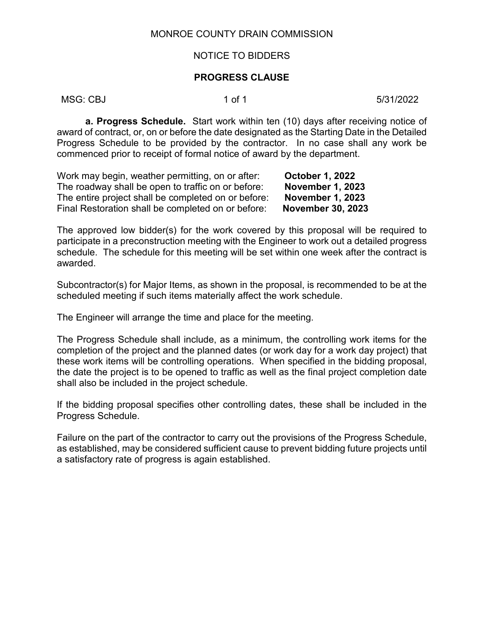#### NOTICE TO BIDDERS

#### **PROGRESS CLAUSE**

MSG: CBJ 1 of 1 5/31/2022

**a. Progress Schedule.** Start work within ten (10) days after receiving notice of award of contract, or, on or before the date designated as the Starting Date in the Detailed Progress Schedule to be provided by the contractor. In no case shall any work be commenced prior to receipt of formal notice of award by the department.

| Work may begin, weather permitting, on or after:    | <b>October 1, 2022</b>   |
|-----------------------------------------------------|--------------------------|
| The roadway shall be open to traffic on or before:  | November 1, 2023         |
| The entire project shall be completed on or before: | <b>November 1, 2023</b>  |
| Final Restoration shall be completed on or before:  | <b>November 30, 2023</b> |

The approved low bidder(s) for the work covered by this proposal will be required to participate in a preconstruction meeting with the Engineer to work out a detailed progress schedule. The schedule for this meeting will be set within one week after the contract is awarded.

Subcontractor(s) for Major Items, as shown in the proposal, is recommended to be at the scheduled meeting if such items materially affect the work schedule.

The Engineer will arrange the time and place for the meeting.

The Progress Schedule shall include, as a minimum, the controlling work items for the completion of the project and the planned dates (or work day for a work day project) that these work items will be controlling operations. When specified in the bidding proposal, the date the project is to be opened to traffic as well as the final project completion date shall also be included in the project schedule.

If the bidding proposal specifies other controlling dates, these shall be included in the Progress Schedule.

Failure on the part of the contractor to carry out the provisions of the Progress Schedule, as established, may be considered sufficient cause to prevent bidding future projects until a satisfactory rate of progress is again established.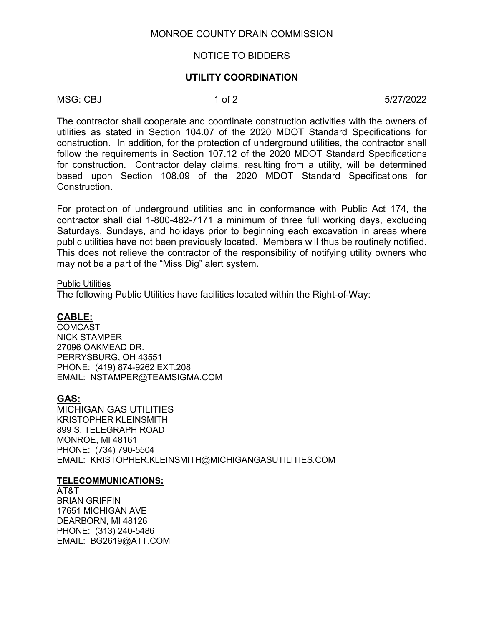#### NOTICE TO BIDDERS

#### **UTILITY COORDINATION**

MSG: CBJ 1 of 2 5/27/2022

The contractor shall cooperate and coordinate construction activities with the owners of utilities as stated in Section 104.07 of the 2020 MDOT Standard Specifications for construction. In addition, for the protection of underground utilities, the contractor shall follow the requirements in Section 107.12 of the 2020 MDOT Standard Specifications for construction. Contractor delay claims, resulting from a utility, will be determined based upon Section 108.09 of the 2020 MDOT Standard Specifications for Construction.

For protection of underground utilities and in conformance with Public Act 174, the contractor shall dial 1-800-482-7171 a minimum of three full working days, excluding Saturdays, Sundays, and holidays prior to beginning each excavation in areas where public utilities have not been previously located. Members will thus be routinely notified. This does not relieve the contractor of the responsibility of notifying utility owners who may not be a part of the "Miss Dig" alert system.

#### Public Utilities

The following Public Utilities have facilities located within the Right-of-Way:

#### **CABLE:**

**COMCAST** NICK STAMPER 27096 OAKMEAD DR. PERRYSBURG, OH 43551 PHONE: (419) 874-9262 EXT.208 EMAIL: NSTAMPER@TEAMSIGMA.COM

#### **GAS:**

MICHIGAN GAS UTILITIES KRISTOPHER KLEINSMITH 899 S. TELEGRAPH ROAD MONROE, MI 48161 PHONE: (734) 790-5504 EMAIL: KRISTOPHER.KLEINSMITH@MICHIGANGASUTILITIES.COM

#### **TELECOMMUNICATIONS:**

AT&T BRIAN GRIFFIN 17651 MICHIGAN AVE DEARBORN, MI 48126 PHONE: (313) 240-5486 EMAIL: BG2619@ATT.COM